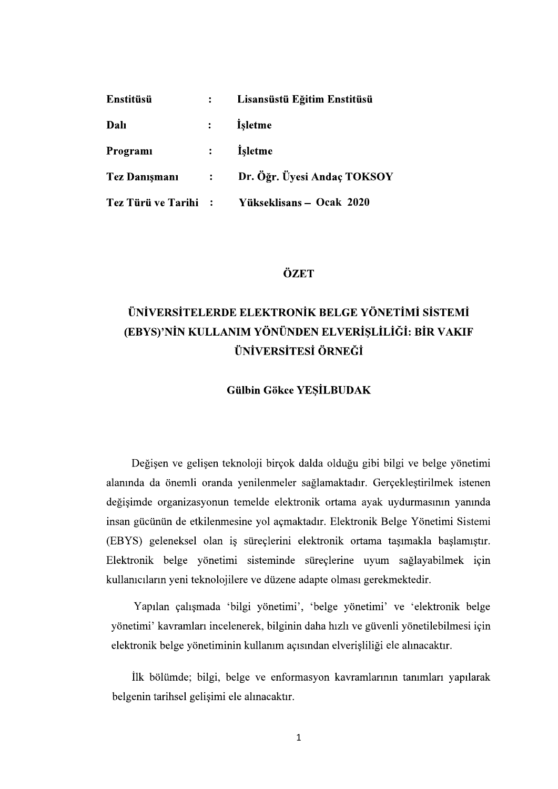| <b>Enstitüsü</b>     |                | Lisansüstü Eğitim Enstitüsü |
|----------------------|----------------|-----------------------------|
| Dalı                 | $\ddot{\cdot}$ | <i>i</i> sletme             |
| Programi             |                | <i>i</i> sletme             |
| <b>Tez Danişmanı</b> | $\mathcal{L}$  | Dr. Öğr. Üyesi Andaç TOKSOY |
| Tez Türü ve Tarihi : |                | Yükseklisans – Ocak 2020    |

## ÖZET

# ÜNİVERSİTELERDE ELEKTRONİK BELGE YÖNETİMI SİSTEMİ (EBYS)'NİN KULLANIM YÖNÜNDEN ELVERİŞLİLİĞİ: BİR VAKIF **ÜNİVERSİTESİ ÖRNEĞİ**

#### **Gülbin Gökce YESİLBUDAK**

Değişen ve gelişen teknoloji birçok dalda olduğu gibi bilgi ve belge yönetimi alanında da önemli oranda yenilenmeler sağlamaktadır. Gerçekleştirilmek istenen değişimde organizasyonun temelde elektronik ortama ayak uydurmasının yanında insan gücünün de etkilenmesine yol açmaktadır. Elektronik Belge Yönetimi Sistemi (EBYS) geleneksel olan iş süreçlerini elektronik ortama taşımakla başlamıştır. Elektronik belge yönetimi sisteminde süreçlerine uyum sağlayabilmek için kullanıcıların yeni teknolojilere ve düzene adapte olması gerekmektedir.

Yapılan çalışmada 'bilgi yönetimi', 'belge yönetimi' ve 'elektronik belge yönetimi' kavramları incelenerek, bilginin daha hızlı ve güvenli yönetilebilmesi için elektronik belge yönetiminin kullanım açısından elverişliliği ele alınacaktır.

İlk bölümde; bilgi, belge ve enformasyon kavramlarının tanımları yapılarak belgenin tarihsel gelişimi ele alınacaktır.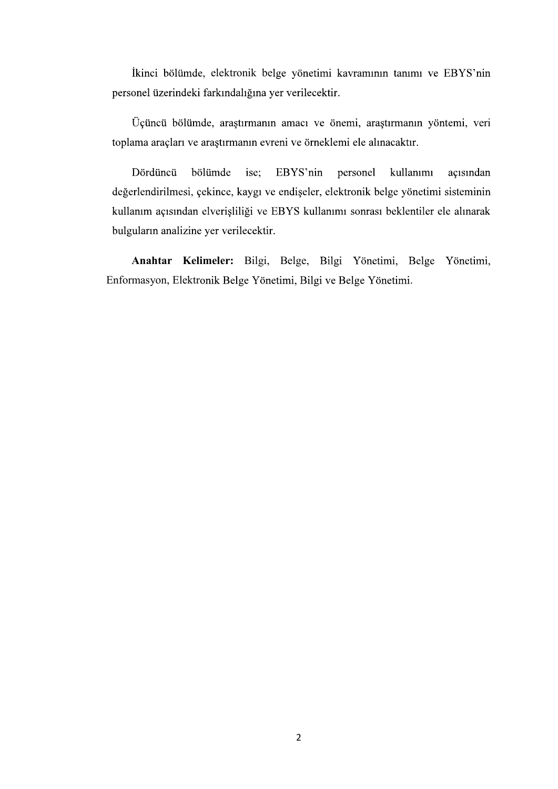İkinci bölümde, elektronik belge yönetimi kavramının tanımı ve EBYS'nin personel üzerindeki farkındalığına yer verilecektir.

Üçüncü bölümde, araştırmanın amacı ve önemi, araştırmanın yöntemi, veri toplama araçları ve araştırmanın evreni ve örneklemi ele alınacaktır.

Dördüncü bölümde ise: EBYS'nin personel kullanımı açısından değerlendirilmesi, çekince, kaygı ve endişeler, elektronik belge yönetimi sisteminin kullanım açısından elverişliliği ve EBYS kullanımı sonrası beklentiler ele alınarak bulguların analizine yer verilecektir.

Anahtar Kelimeler: Bilgi, Belge, Bilgi Yönetimi, Belge Yönetimi, Enformasyon, Elektronik Belge Yönetimi, Bilgi ve Belge Yönetimi.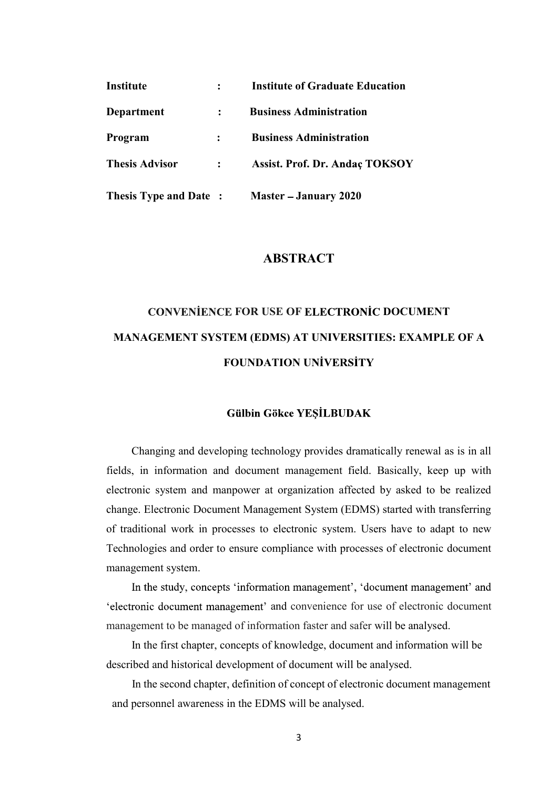| Institute                    |                            | <b>Institute of Graduate Education</b> |
|------------------------------|----------------------------|----------------------------------------|
| Department                   | $\ddot{\cdot}$             | <b>Business Administration</b>         |
| <b>Program</b>               |                            | <b>Business Administration</b>         |
| <b>Thesis Advisor</b>        | $\mathcal{Z}^{\text{max}}$ | <b>Assist. Prof. Dr. Andaç TOKSOY</b>  |
| <b>Thesis Type and Date:</b> |                            | <b>Master – January 2020</b>           |

## ABSTRACT

# CONVENIENCE FOR USE OF ELECTRONIC DOCUMENT MANAGEMENT SYSTEM (EDMS) AT UNIVERSITIES: EXAMPLE OF A FOUNDATION UNIVERSITY

#### **Gülbin Gökce YEŞİLBUDAK**

 Changing and developing technology provides dramatically renewal as is in all fields, in information and document management field. Basically, keep up with electronic system and manpower at organization affected by asked to be realized change. Electronic Document Management System (EDMS) started with transferring of traditional work in processes to electronic system. Users have to adapt to new Technologies and order to ensure compliance with processes of electronic document management system.

In the study, concepts 'information management', 'document management' and 'electronic document management' and convenience for use of electronic document management to be managed of information faster and safer will be analysed.

 In the first chapter, concepts of knowledge, document and information will be described and historical development of document will be analysed.

 In the second chapter, definition of concept of electronic document management and personnel awareness in the EDMS will be analysed.